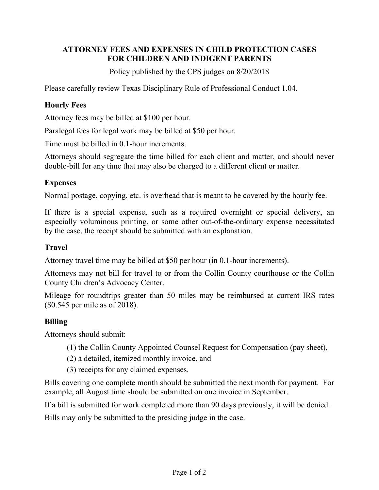## **ATTORNEY FEES AND EXPENSES IN CHILD PROTECTION CASES FOR CHILDREN AND INDIGENT PARENTS**

Policy published by the CPS judges on 8/20/2018

Please carefully review Texas Disciplinary Rule of Professional Conduct 1.04.

# **Hourly Fees**

Attorney fees may be billed at \$100 per hour.

Paralegal fees for legal work may be billed at \$50 per hour.

Time must be billed in 0.1-hour increments.

Attorneys should segregate the time billed for each client and matter, and should never double-bill for any time that may also be charged to a different client or matter.

#### **Expenses**

Normal postage, copying, etc. is overhead that is meant to be covered by the hourly fee.

If there is a special expense, such as a required overnight or special delivery, an especially voluminous printing, or some other out-of-the-ordinary expense necessitated by the case, the receipt should be submitted with an explanation.

## **Travel**

Attorney travel time may be billed at \$50 per hour (in 0.1-hour increments).

Attorneys may not bill for travel to or from the Collin County courthouse or the Collin County Children's Advocacy Center.

Mileage for roundtrips greater than 50 miles may be reimbursed at current IRS rates (\$0.545 per mile as of 2018).

## **Billing**

Attorneys should submit:

- (1) the Collin County Appointed Counsel Request for Compensation (pay sheet),
- (2) a detailed, itemized monthly invoice, and
- (3) receipts for any claimed expenses.

Bills covering one complete month should be submitted the next month for payment. For example, all August time should be submitted on one invoice in September.

If a bill is submitted for work completed more than 90 days previously, it will be denied.

Bills may only be submitted to the presiding judge in the case.